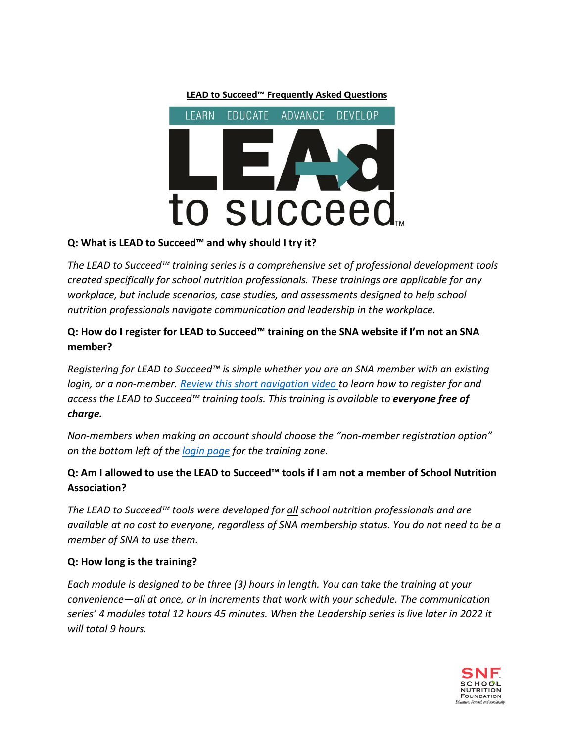

#### **Q: What is LEAD to Succeed™ and why should I try it?**

*The LEAD to Succeed™ training series is a comprehensive set of professional development tools created specifically for school nutrition professionals. These trainings are applicable for any workplace, but include scenarios, case studies, and assessments designed to help school nutrition professionals navigate communication and leadership in the workplace.*

## **Q: How do I register for LEAD to Succeed™ training on the SNA website if I'm not an SNA member?**

*Registering for LEAD to Succeed™ is simple whether you are an SNA member with an existing login, or a non-member. [Review this short navigation video t](https://youtu.be/0_zMhMqnxl8)o learn how to register for and access the LEAD to Succeed™ training tools. This training is available to everyone free of charge.*

*Non-members when making an account should choose the "non-member registration option" on the bottom left of the [login page](https://authentication.schoolnutrition.org/login2lms.aspx?returnUrl=Production) for the training zone.*

# **Q: Am I allowed to use the LEAD to Succeed™ tools if I am not a member of School Nutrition Association?**

*The LEAD to Succeed™ tools were developed for all school nutrition professionals and are available at no cost to everyone, regardless of SNA membership status. You do not need to be a member of SNA to use them.*

#### **Q: How long is the training?**

*Each module is designed to be three (3) hours in length. You can take the training at your convenience—all at once, or in increments that work with your schedule. The communication series' 4 modules total 12 hours 45 minutes. When the Leadership series is live later in 2022 it will total 9 hours.*

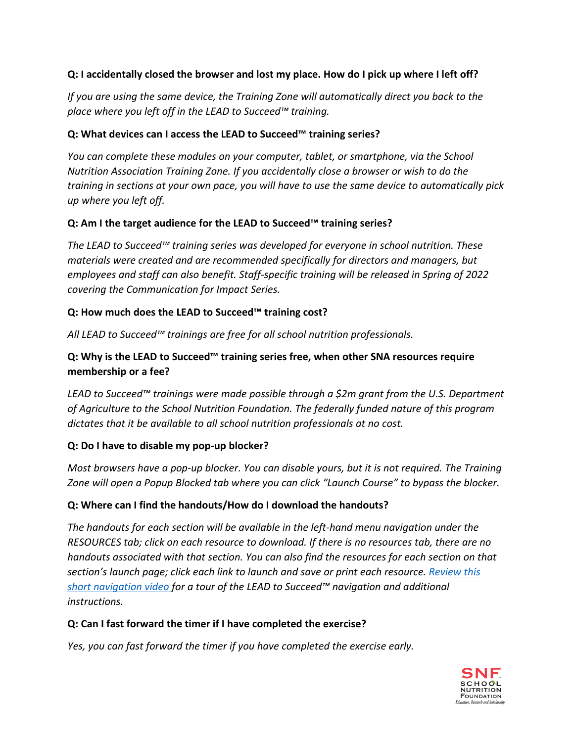## **Q: I accidentally closed the browser and lost my place. How do I pick up where I left off?**

*If you are using the same device, the Training Zone will automatically direct you back to the place where you left off in the LEAD to Succeed™ training.*

#### **Q: What devices can I access the LEAD to Succeed™ training series?**

*You can complete these modules on your computer, tablet, or smartphone, via the School Nutrition Association Training Zone. If you accidentally close a browser or wish to do the training in sections at your own pace, you will have to use the same device to automatically pick up where you left off.*

#### **Q: Am I the target audience for the LEAD to Succeed™ training series?**

*The LEAD to Succeed™ training series was developed for everyone in school nutrition. These materials were created and are recommended specifically for directors and managers, but employees and staff can also benefit. Staff-specific training will be released in Spring of 2022 covering the Communication for Impact Series.*

#### **Q: How much does the LEAD to Succeed™ training cost?**

*All LEAD to Succeed™ trainings are free for all school nutrition professionals.*

## **Q: Why is the LEAD to Succeed™ training series free, when other SNA resources require membership or a fee?**

*LEAD to Succeed™ trainings were made possible through a \$2m grant from the U.S. Department of Agriculture to the School Nutrition Foundation. The federally funded nature of this program dictates that it be available to all school nutrition professionals at no cost.*

#### **Q: Do I have to disable my pop-up blocker?**

*Most browsers have a pop-up blocker. You can disable yours, but it is not required. The Training Zone will open a Popup Blocked tab where you can click "Launch Course" to bypass the blocker.*

#### **Q: Where can I find the handouts/How do I download the handouts?**

*The handouts for each section will be available in the left-hand menu navigation under the RESOURCES tab; click on each resource to download. If there is no resources tab, there are no handouts associated with that section. You can also find the resources for each section on that section's launch page; click each link to launch and save or print each resource. [Review this](https://youtu.be/0_zMhMqnxl8) [short navigation video f](https://youtu.be/0_zMhMqnxl8)or a tour of the LEAD to Succeed™ navigation and additional instructions.*

#### **Q: Can I fast forward the timer if I have completed the exercise?**

*Yes, you can fast forward the timer if you have completed the exercise early.*

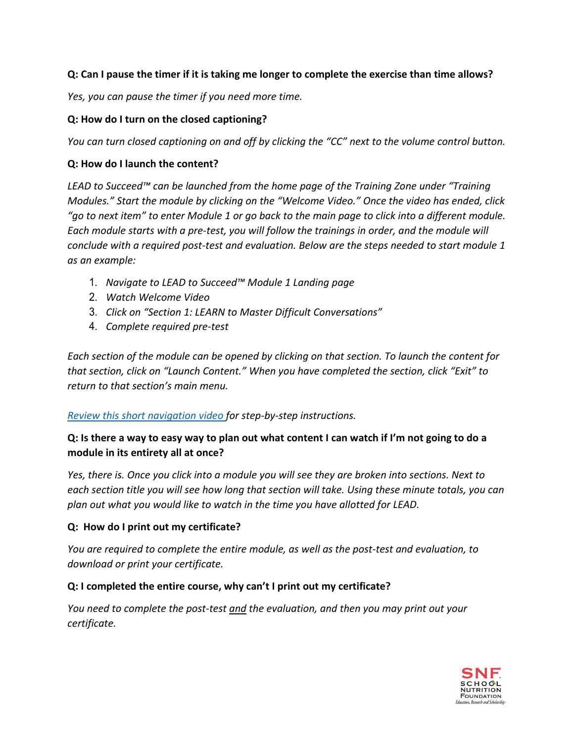#### **Q: Can I pause the timer if it is taking me longer to complete the exercise than time allows?**

*Yes, you can pause the timer if you need more time.*

#### **Q: How do I turn on the closed captioning?**

*You can turn closed captioning on and off by clicking the "CC" next to the volume control button.*

#### **Q: How do I launch the content?**

*LEAD to Succeed™ can be launched from the home page of the Training Zone under "Training Modules." Start the module by clicking on the "Welcome Video." Once the video has ended, click "go to next item" to enter Module 1 or go back to the main page to click into a different module. Each module starts with a pre-test, you will follow the trainings in order, and the module will conclude with a required post-test and evaluation. Below are the steps needed to start module 1 as an example:*

- 1. *Navigate to LEAD to Succeed™ Module 1 Landing page*
- 2. *Watch Welcome Video*
- 3. *Click on "Section 1: LEARN to Master Difficult Conversations"*
- 4. *Complete required pre-test*

*Each section of the module can be opened by clicking on that section. To launch the content for that section, click on "Launch Content." When you have completed the section, click "Exit" to return to that section's main menu.*

#### *[Review this short navigation video f](https://youtu.be/0_zMhMqnxl8)or step-by-step instructions.*

# **Q: Is there a way to easy way to plan out what content I can watch if I'm not going to do a module in its entirety all at once?**

*Yes, there is. Once you click into a module you will see they are broken into sections. Next to each section title you will see how long that section will take. Using these minute totals, you can plan out what you would like to watch in the time you have allotted for LEAD.*

#### **Q: How do I print out my certificate?**

*You are required to complete the entire module, as well as the post-test and evaluation, to download or print your certificate.*

#### **Q: I completed the entire course, why can't I print out my certificate?**

*You need to complete the post-test and the evaluation, and then you may print out your certificate.*